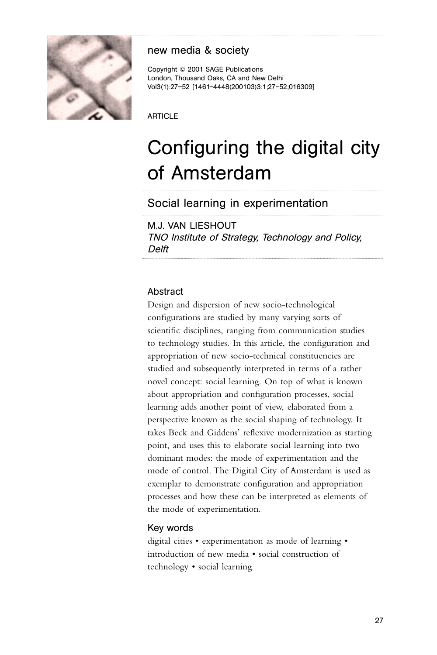

# new media & society

Copyright © 2001 SAGE Publications London, Thousand Oaks, CA and New Delhi Vol3(1):27–52 [1461–4448(200103)3:1;27–52;016309]

ARTICLE

# Configuring the digital city of Amsterdam

............................................................................................................................................................................................................................................

............................................................................................................................................................................................................................................

Social learning in experimentation

M.J. VAN LIESHOUT TNO Institute of Strategy, Technology and Policy, Delft ............................................................................................................................................................................................................................................

## **Abstract**

Design and dispersion of new socio-technological configurations are studied by many varying sorts of scientific disciplines, ranging from communication studies to technology studies. In this article, the configuration and appropriation of new socio-technical constituencies are studied and subsequently interpreted in terms of a rather novel concept: social learning. On top of what is known about appropriation and configuration processes, social learning adds another point of view, elaborated from a perspective known as the social shaping of technology. It takes Beck and Giddens' reflexive modernization as starting point, and uses this to elaborate social learning into two dominant modes: the mode of experimentation and the mode of control. The Digital City of Amsterdam is used as exemplar to demonstrate configuration and appropriation processes and how these can be interpreted as elements of the mode of experimentation.

## Key words

digital cities • experimentation as mode of learning • introduction of new media • social construction of technology • social learning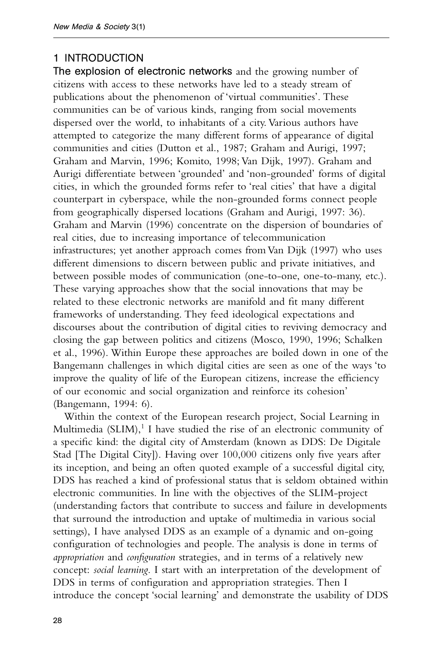## 1 INTRODUCTION

The explosion of electronic networks and the growing number of citizens with access to these networks have led to a steady stream of publications about the phenomenon of 'virtual communities'. These communities can be of various kinds, ranging from social movements dispersed over the world, to inhabitants of a city. Various authors have attempted to categorize the many different forms of appearance of digital communities and cities (Dutton et al., 1987; Graham and Aurigi, 1997; Graham and Marvin, 1996; Komito, 1998; Van Dijk, 1997). Graham and Aurigi differentiate between 'grounded' and 'non-grounded' forms of digital cities, in which the grounded forms refer to 'real cities' that have a digital counterpart in cyberspace, while the non-grounded forms connect people from geographically dispersed locations (Graham and Aurigi, 1997: 36). Graham and Marvin (1996) concentrate on the dispersion of boundaries of real cities, due to increasing importance of telecommunication infrastructures; yet another approach comes from Van Dijk (1997) who uses different dimensions to discern between public and private initiatives, and between possible modes of communication (one-to-one, one-to-many, etc.). These varying approaches show that the social innovations that may be related to these electronic networks are manifold and fit many different frameworks of understanding. They feed ideological expectations and discourses about the contribution of digital cities to reviving democracy and closing the gap between politics and citizens (Mosco, 1990, 1996; Schalken et al., 1996). Within Europe these approaches are boiled down in one of the Bangemann challenges in which digital cities are seen as one of the ways 'to improve the quality of life of the European citizens, increase the efficiency of our economic and social organization and reinforce its cohesion' (Bangemann, 1994: 6).

Within the context of the European research project, Social Learning in Multimedia (SLIM), $1$  I have studied the rise of an electronic community of a specific kind: the digital city of Amsterdam (known as DDS: De Digitale Stad [The Digital City]). Having over 100,000 citizens only five years after its inception, and being an often quoted example of a successful digital city, DDS has reached a kind of professional status that is seldom obtained within electronic communities. In line with the objectives of the SLIM-project (understanding factors that contribute to success and failure in developments that surround the introduction and uptake of multimedia in various social settings), I have analysed DDS as an example of a dynamic and on-going configuration of technologies and people. The analysis is done in terms of *appropriation* and *configuration* strategies, and in terms of a relatively new concept: *social learning*. I start with an interpretation of the development of DDS in terms of configuration and appropriation strategies. Then I introduce the concept 'social learning' and demonstrate the usability of DDS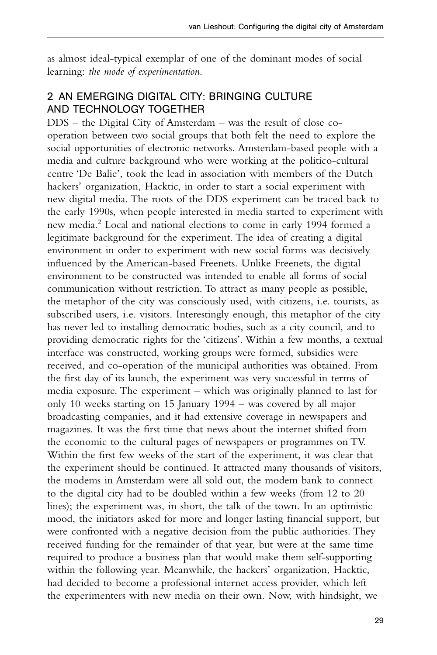as almost ideal-typical exemplar of one of the dominant modes of social learning: *the mode of experimentation*.

# 2 AN EMERGING DIGITAL CITY: BRINGING CULTURE AND TECHNOLOGY TOGETHER

DDS – the Digital City of Amsterdam – was the result of close cooperation between two social groups that both felt the need to explore the social opportunities of electronic networks. Amsterdam-based people with a media and culture background who were working at the politico-cultural centre 'De Balie', took the lead in association with members of the Dutch hackers' organization, Hacktic, in order to start a social experiment with new digital media. The roots of the DDS experiment can be traced back to the early 1990s, when people interested in media started to experiment with new media.<sup>2</sup> Local and national elections to come in early 1994 formed a legitimate background for the experiment. The idea of creating a digital environment in order to experiment with new social forms was decisively influenced by the American-based Freenets. Unlike Freenets, the digital environment to be constructed was intended to enable all forms of social communication without restriction. To attract as many people as possible, the metaphor of the city was consciously used, with citizens, i.e. tourists, as subscribed users, i.e. visitors. Interestingly enough, this metaphor of the city has never led to installing democratic bodies, such as a city council, and to providing democratic rights for the 'citizens'. Within a few months, a textual interface was constructed, working groups were formed, subsidies were received, and co-operation of the municipal authorities was obtained. From the first day of its launch, the experiment was very successful in terms of media exposure. The experiment – which was originally planned to last for only 10 weeks starting on 15 January 1994 – was covered by all major broadcasting companies, and it had extensive coverage in newspapers and magazines. It was the first time that news about the internet shifted from the economic to the cultural pages of newspapers or programmes on TV. Within the first few weeks of the start of the experiment, it was clear that the experiment should be continued. It attracted many thousands of visitors, the modems in Amsterdam were all sold out, the modem bank to connect to the digital city had to be doubled within a few weeks (from 12 to 20 lines); the experiment was, in short, the talk of the town. In an optimistic mood, the initiators asked for more and longer lasting financial support, but were confronted with a negative decision from the public authorities. They received funding for the remainder of that year, but were at the same time required to produce a business plan that would make them self-supporting within the following year. Meanwhile, the hackers' organization, Hacktic, had decided to become a professional internet access provider, which left the experimenters with new media on their own. Now, with hindsight, we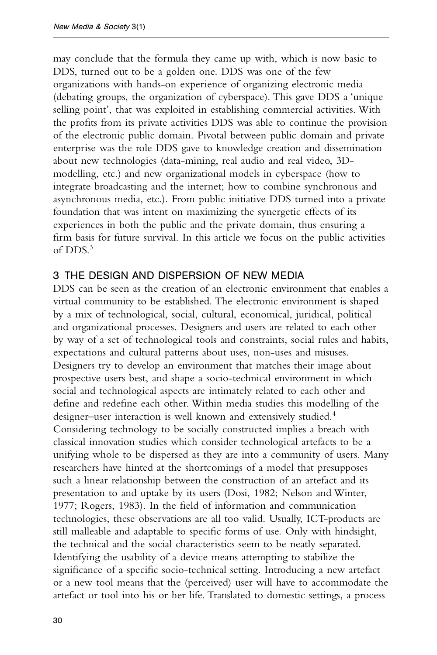may conclude that the formula they came up with, which is now basic to DDS, turned out to be a golden one. DDS was one of the few organizations with hands-on experience of organizing electronic media (debating groups, the organization of cyberspace). This gave DDS a 'unique selling point', that was exploited in establishing commercial activities. With the profits from its private activities DDS was able to continue the provision of the electronic public domain. Pivotal between public domain and private enterprise was the role DDS gave to knowledge creation and dissemination about new technologies (data-mining, real audio and real video, 3Dmodelling, etc.) and new organizational models in cyberspace (how to integrate broadcasting and the internet; how to combine synchronous and asynchronous media, etc.). From public initiative DDS turned into a private foundation that was intent on maximizing the synergetic effects of its experiences in both the public and the private domain, thus ensuring a firm basis for future survival. In this article we focus on the public activities of DDS.<sup>3</sup>

## 3 THE DESIGN AND DISPERSION OF NEW MEDIA

DDS can be seen as the creation of an electronic environment that enables a virtual community to be established. The electronic environment is shaped by a mix of technological, social, cultural, economical, juridical, political and organizational processes. Designers and users are related to each other by way of a set of technological tools and constraints, social rules and habits, expectations and cultural patterns about uses, non-uses and misuses. Designers try to develop an environment that matches their image about prospective users best, and shape a socio-technical environment in which social and technological aspects are intimately related to each other and define and redefine each other. Within media studies this modelling of the designer–user interaction is well known and extensively studied.<sup>4</sup> Considering technology to be socially constructed implies a breach with classical innovation studies which consider technological artefacts to be a unifying whole to be dispersed as they are into a community of users. Many researchers have hinted at the shortcomings of a model that presupposes such a linear relationship between the construction of an artefact and its presentation to and uptake by its users (Dosi, 1982; Nelson and Winter, 1977; Rogers, 1983). In the field of information and communication technologies, these observations are all too valid. Usually, ICT-products are still malleable and adaptable to specific forms of use. Only with hindsight, the technical and the social characteristics seem to be neatly separated. Identifying the usability of a device means attempting to stabilize the significance of a specific socio-technical setting. Introducing a new artefact or a new tool means that the (perceived) user will have to accommodate the artefact or tool into his or her life. Translated to domestic settings, a process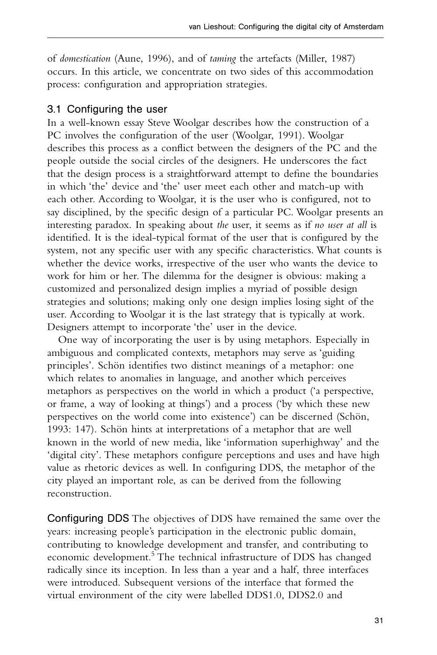of *domestication* (Aune, 1996), and of *taming* the artefacts (Miller, 1987) occurs. In this article, we concentrate on two sides of this accommodation process: configuration and appropriation strategies.

## 3.1 Configuring the user

In a well-known essay Steve Woolgar describes how the construction of a PC involves the configuration of the user (Woolgar, 1991). Woolgar describes this process as a conflict between the designers of the PC and the people outside the social circles of the designers. He underscores the fact that the design process is a straightforward attempt to define the boundaries in which 'the' device and 'the' user meet each other and match-up with each other. According to Woolgar, it is the user who is configured, not to say disciplined, by the specific design of a particular PC. Woolgar presents an interesting paradox. In speaking about *the* user, it seems as if *no user at all* is identified. It is the ideal-typical format of the user that is configured by the system, not any specific user with any specific characteristics. What counts is whether the device works, irrespective of the user who wants the device to work for him or her. The dilemma for the designer is obvious: making a customized and personalized design implies a myriad of possible design strategies and solutions; making only one design implies losing sight of the user. According to Woolgar it is the last strategy that is typically at work. Designers attempt to incorporate 'the' user in the device.

One way of incorporating the user is by using metaphors. Especially in ambiguous and complicated contexts, metaphors may serve as 'guiding principles'. Schön identifies two distinct meanings of a metaphor: one which relates to anomalies in language, and another which perceives metaphors as perspectives on the world in which a product ('a perspective, or frame, a way of looking at things') and a process ('by which these new perspectives on the world come into existence') can be discerned (Schön, 1993: 147). Schön hints at interpretations of a metaphor that are well known in the world of new media, like 'information superhighway' and the 'digital city'. These metaphors configure perceptions and uses and have high value as rhetoric devices as well. In configuring DDS, the metaphor of the city played an important role, as can be derived from the following reconstruction.

Configuring DDS The objectives of DDS have remained the same over the years: increasing people's participation in the electronic public domain, contributing to knowledge development and transfer, and contributing to economic development.<sup>5</sup> The technical infrastructure of DDS has changed radically since its inception. In less than a year and a half, three interfaces were introduced. Subsequent versions of the interface that formed the virtual environment of the city were labelled DDS1.0, DDS2.0 and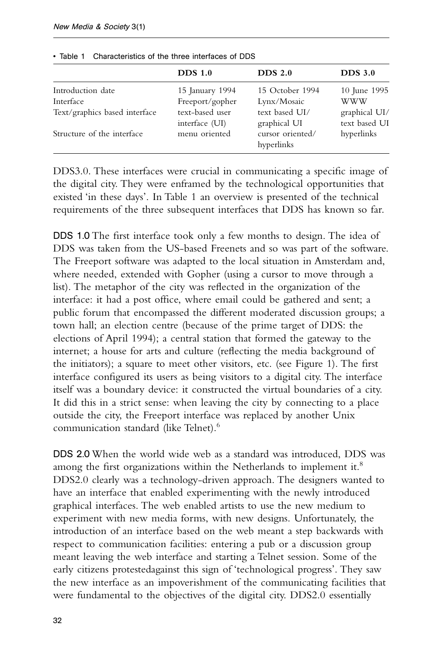|                                                                                               | $DDS$ 1.0                                                                                | DDS <sub>2.0</sub>                                                                                 | DDS <sub>3.0</sub>                                                         |
|-----------------------------------------------------------------------------------------------|------------------------------------------------------------------------------------------|----------------------------------------------------------------------------------------------------|----------------------------------------------------------------------------|
| Introduction date<br>Interface<br>Text/graphics based interface<br>Structure of the interface | 15 January 1994<br>Freeport/gopher<br>text-based user<br>interface (UI)<br>menu oriented | 15 October 1994<br>Lynx/Mosaic<br>text based UI/<br>graphical UI<br>cursor oriented/<br>hyperlinks | 10 June 1995<br><b>WWW</b><br>graphical UI/<br>text based UI<br>hyperlinks |

• Table 1 Characteristics of the three interfaces of DDS

DDS3.0. These interfaces were crucial in communicating a specific image of the digital city. They were enframed by the technological opportunities that existed 'in these days'. In Table 1 an overview is presented of the technical requirements of the three subsequent interfaces that DDS has known so far.

DDS 1.0 The first interface took only a few months to design. The idea of DDS was taken from the US-based Freenets and so was part of the software. The Freeport software was adapted to the local situation in Amsterdam and, where needed, extended with Gopher (using a cursor to move through a list). The metaphor of the city was reflected in the organization of the interface: it had a post office, where email could be gathered and sent; a public forum that encompassed the different moderated discussion groups; a town hall; an election centre (because of the prime target of DDS: the elections of April 1994); a central station that formed the gateway to the internet; a house for arts and culture (reflecting the media background of the initiators); a square to meet other visitors, etc. (see Figure 1). The first interface configured its users as being visitors to a digital city. The interface itself was a boundary device: it constructed the virtual boundaries of a city. It did this in a strict sense: when leaving the city by connecting to a place outside the city, the Freeport interface was replaced by another Unix communication standard (like Telnet).6

DDS 2.0 When the world wide web as a standard was introduced, DDS was among the first organizations within the Netherlands to implement it.<sup>8</sup> DDS2.0 clearly was a technology-driven approach. The designers wanted to have an interface that enabled experimenting with the newly introduced graphical interfaces. The web enabled artists to use the new medium to experiment with new media forms, with new designs. Unfortunately, the introduction of an interface based on the web meant a step backwards with respect to communication facilities: entering a pub or a discussion group meant leaving the web interface and starting a Telnet session. Some of the early citizens protestedagainst this sign of 'technological progress'. They saw the new interface as an impoverishment of the communicating facilities that were fundamental to the objectives of the digital city. DDS2.0 essentially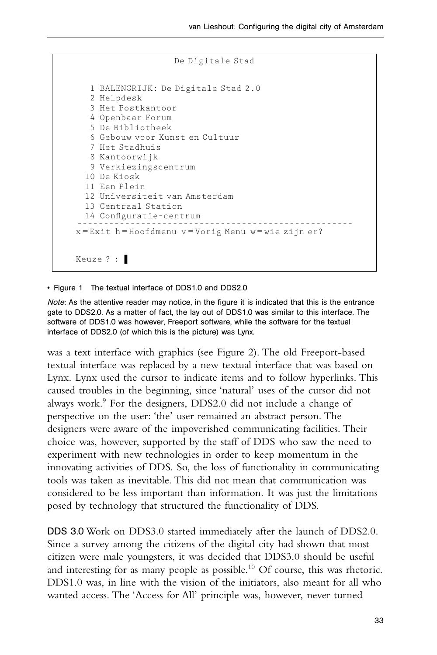```
De Digitale Stad
   1 BALENGRIJK: De Digitale Stad 2.0
   2 Helpdesk
   3 Het Postkantoor
   4 Openbaar Forum
   5 De Bibliotheek
   6 Gebouw voor Kunst en Cultuur
   7 Het Stadhuis
  8 Kantoorwijk
  9 Verkiezingscentrum
  10 De Kiosk
  11 Een Plein
  12 Universiteit van Amsterdam
 13 Centraal Station
 14 Configuratie–centrum
––––––––––––––––––––––––––––––––––––––––––––––––––––
x = Exit h = Hoofdmenu v = Vorig Menu w = wie zijn er?
Keuze ? : ❚
```
## • Figure 1 The textual interface of DDS1.0 and DDS2.0

Note: As the attentive reader may notice, in the figure it is indicated that this is the entrance gate to DDS2.0. As a matter of fact, the lay out of DDS1.0 was similar to this interface. The software of DDS1.0 was however, Freeport software, while the software for the textual interface of DDS2.0 (of which this is the picture) was Lynx.

was a text interface with graphics (see Figure 2). The old Freeport-based textual interface was replaced by a new textual interface that was based on Lynx. Lynx used the cursor to indicate items and to follow hyperlinks. This caused troubles in the beginning, since 'natural' uses of the cursor did not always work.<sup>9</sup> For the designers, DDS2.0 did not include a change of perspective on the user: 'the' user remained an abstract person. The designers were aware of the impoverished communicating facilities. Their choice was, however, supported by the staff of DDS who saw the need to experiment with new technologies in order to keep momentum in the innovating activities of DDS. So, the loss of functionality in communicating tools was taken as inevitable. This did not mean that communication was considered to be less important than information. It was just the limitations posed by technology that structured the functionality of DDS.

DDS 3.0 Work on DDS3.0 started immediately after the launch of DDS2.0. Since a survey among the citizens of the digital city had shown that most citizen were male youngsters, it was decided that DDS3.0 should be useful and interesting for as many people as possible.<sup>10</sup> Of course, this was rhetoric. DDS1.0 was, in line with the vision of the initiators, also meant for all who wanted access. The 'Access for All' principle was, however, never turned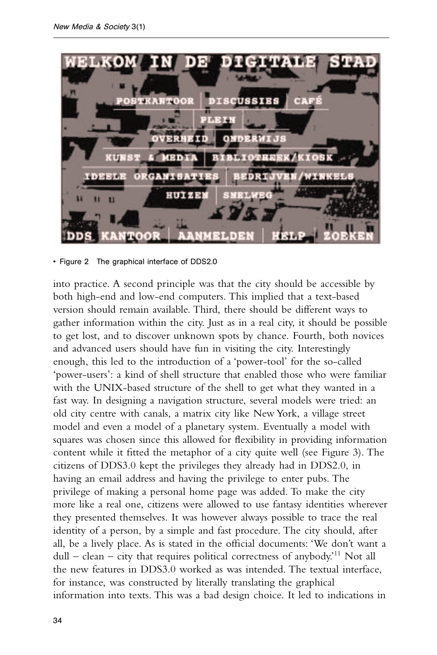

<sup>•</sup> Figure 2 The graphical interface of DDS2.0

into practice. A second principle was that the city should be accessible by both high-end and low-end computers. This implied that a text-based version should remain available. Third, there should be different ways to gather information within the city. Just as in a real city, it should be possible to get lost, and to discover unknown spots by chance. Fourth, both novices and advanced users should have fun in visiting the city. Interestingly enough, this led to the introduction of a 'power-tool' for the so-called 'power-users': a kind of shell structure that enabled those who were familiar with the UNIX-based structure of the shell to get what they wanted in a fast way. In designing a navigation structure, several models were tried: an old city centre with canals, a matrix city like New York, a village street model and even a model of a planetary system. Eventually a model with squares was chosen since this allowed for flexibility in providing information content while it fitted the metaphor of a city quite well (see Figure 3). The citizens of DDS3.0 kept the privileges they already had in DDS2.0, in having an email address and having the privilege to enter pubs. The privilege of making a personal home page was added. To make the city more like a real one, citizens were allowed to use fantasy identities wherever they presented themselves. It was however always possible to trace the real identity of a person, by a simple and fast procedure. The city should, after all, be a lively place. As is stated in the official documents: 'We don't want a  $dull - clean - city that requires political correctness of anybody.<sup>11</sup> Not all$ the new features in DDS3.0 worked as was intended. The textual interface, for instance, was constructed by literally translating the graphical information into texts. This was a bad design choice. It led to indications in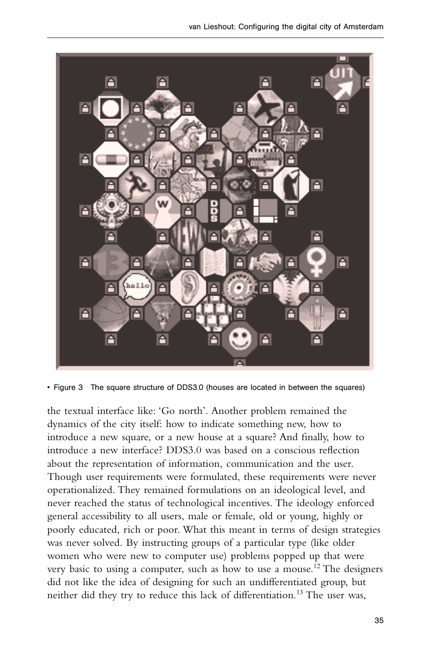

• Figure 3 The square structure of DDS3.0 (houses are located in between the squares)

the textual interface like: 'Go north'. Another problem remained the dynamics of the city itself: how to indicate something new, how to introduce a new square, or a new house at a square? And finally, how to introduce a new interface? DDS3.0 was based on a conscious reflection about the representation of information, communication and the user. Though user requirements were formulated, these requirements were never operationalized. They remained formulations on an ideological level, and never reached the status of technological incentives. The ideology enforced general accessibility to all users, male or female, old or young, highly or poorly educated, rich or poor. What this meant in terms of design strategies was never solved. By instructing groups of a particular type (like older women who were new to computer use) problems popped up that were very basic to using a computer, such as how to use a mouse.<sup>12</sup> The designers did not like the idea of designing for such an undifferentiated group, but neither did they try to reduce this lack of differentiation.<sup>13</sup> The user was,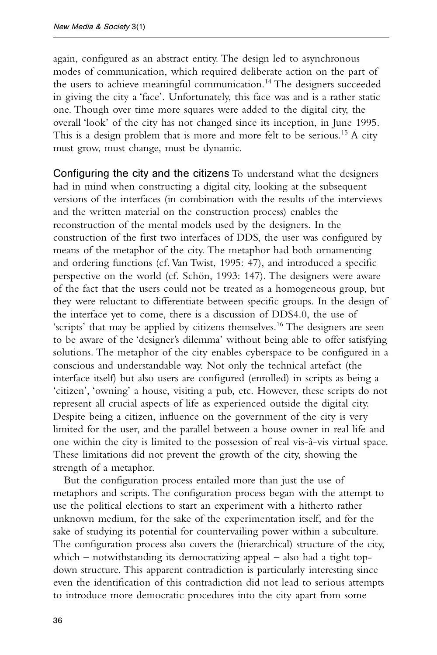again, configured as an abstract entity. The design led to asynchronous modes of communication, which required deliberate action on the part of the users to achieve meaningful communication.<sup>14</sup> The designers succeeded in giving the city a 'face'. Unfortunately, this face was and is a rather static one. Though over time more squares were added to the digital city, the overall 'look' of the city has not changed since its inception, in June 1995. This is a design problem that is more and more felt to be serious.<sup>15</sup> A city must grow, must change, must be dynamic.

Configuring the city and the citizens To understand what the designers had in mind when constructing a digital city, looking at the subsequent versions of the interfaces (in combination with the results of the interviews and the written material on the construction process) enables the reconstruction of the mental models used by the designers. In the construction of the first two interfaces of DDS, the user was configured by means of the metaphor of the city. The metaphor had both ornamenting and ordering functions (cf. Van Twist, 1995: 47), and introduced a specific perspective on the world (cf. Schön, 1993: 147). The designers were aware of the fact that the users could not be treated as a homogeneous group, but they were reluctant to differentiate between specific groups. In the design of the interface yet to come, there is a discussion of DDS4.0, the use of 'scripts' that may be applied by citizens themselves.<sup>16</sup> The designers are seen to be aware of the 'designer's dilemma' without being able to offer satisfying solutions. The metaphor of the city enables cyberspace to be configured in a conscious and understandable way. Not only the technical artefact (the interface itself) but also users are configured (enrolled) in scripts as being a 'citizen', 'owning' a house, visiting a pub, etc. However, these scripts do not represent all crucial aspects of life as experienced outside the digital city. Despite being a citizen, influence on the government of the city is very limited for the user, and the parallel between a house owner in real life and one within the city is limited to the possession of real vis-à-vis virtual space. These limitations did not prevent the growth of the city, showing the strength of a metaphor.

But the configuration process entailed more than just the use of metaphors and scripts. The configuration process began with the attempt to use the political elections to start an experiment with a hitherto rather unknown medium, for the sake of the experimentation itself, and for the sake of studying its potential for countervailing power within a subculture. The configuration process also covers the (hierarchical) structure of the city, which – notwithstanding its democratizing appeal – also had a tight topdown structure. This apparent contradiction is particularly interesting since even the identification of this contradiction did not lead to serious attempts to introduce more democratic procedures into the city apart from some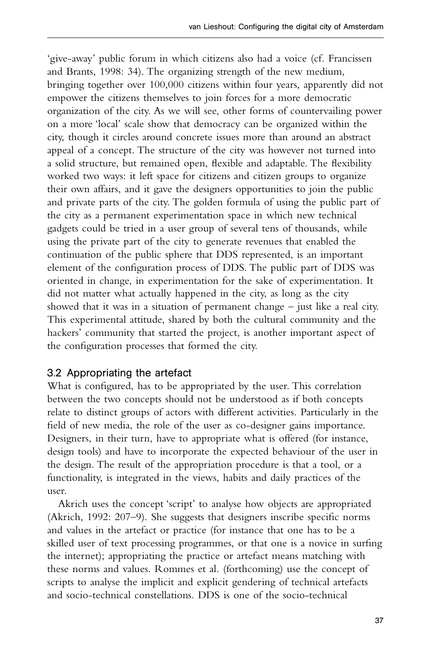'give-away' public forum in which citizens also had a voice (cf. Francissen and Brants, 1998: 34). The organizing strength of the new medium, bringing together over 100,000 citizens within four years, apparently did not empower the citizens themselves to join forces for a more democratic organization of the city. As we will see, other forms of countervailing power on a more 'local' scale show that democracy can be organized within the city, though it circles around concrete issues more than around an abstract appeal of a concept. The structure of the city was however not turned into a solid structure, but remained open, flexible and adaptable. The flexibility worked two ways: it left space for citizens and citizen groups to organize their own affairs, and it gave the designers opportunities to join the public and private parts of the city. The golden formula of using the public part of the city as a permanent experimentation space in which new technical gadgets could be tried in a user group of several tens of thousands, while using the private part of the city to generate revenues that enabled the continuation of the public sphere that DDS represented, is an important element of the configuration process of DDS. The public part of DDS was oriented in change, in experimentation for the sake of experimentation. It did not matter what actually happened in the city, as long as the city showed that it was in a situation of permanent change – just like a real city. This experimental attitude, shared by both the cultural community and the hackers' community that started the project, is another important aspect of the configuration processes that formed the city.

# 3.2 Appropriating the artefact

What is configured, has to be appropriated by the user. This correlation between the two concepts should not be understood as if both concepts relate to distinct groups of actors with different activities. Particularly in the field of new media, the role of the user as co-designer gains importance. Designers, in their turn, have to appropriate what is offered (for instance, design tools) and have to incorporate the expected behaviour of the user in the design. The result of the appropriation procedure is that a tool, or a functionality, is integrated in the views, habits and daily practices of the user.

Akrich uses the concept 'script' to analyse how objects are appropriated (Akrich, 1992: 207–9). She suggests that designers inscribe specific norms and values in the artefact or practice (for instance that one has to be a skilled user of text processing programmes, or that one is a novice in surfing the internet); appropriating the practice or artefact means matching with these norms and values. Rommes et al. (forthcoming) use the concept of scripts to analyse the implicit and explicit gendering of technical artefacts and socio-technical constellations. DDS is one of the socio-technical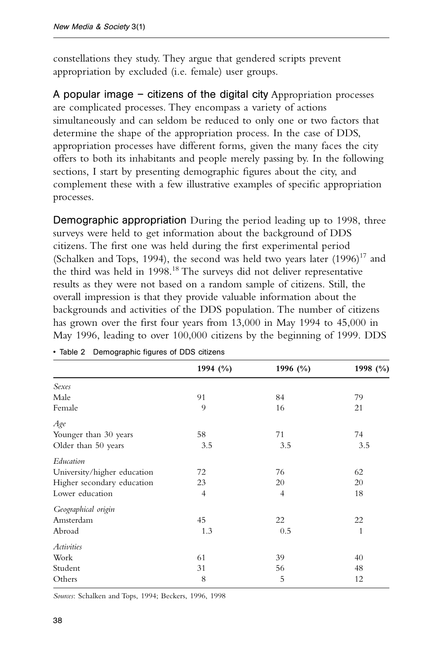constellations they study. They argue that gendered scripts prevent appropriation by excluded (i.e. female) user groups.

A popular image – citizens of the digital city Appropriation processes are complicated processes. They encompass a variety of actions simultaneously and can seldom be reduced to only one or two factors that determine the shape of the appropriation process. In the case of DDS, appropriation processes have different forms, given the many faces the city offers to both its inhabitants and people merely passing by. In the following sections, I start by presenting demographic figures about the city, and complement these with a few illustrative examples of specific appropriation processes.

Demographic appropriation During the period leading up to 1998, three surveys were held to get information about the background of DDS citizens. The first one was held during the first experimental period (Schalken and Tops, 1994), the second was held two years later  $(1996)^{17}$  and the third was held in 1998.<sup>18</sup> The surveys did not deliver representative results as they were not based on a random sample of citizens. Still, the overall impression is that they provide valuable information about the backgrounds and activities of the DDS population. The number of citizens has grown over the first four years from 13,000 in May 1994 to 45,000 in May 1996, leading to over 100,000 citizens by the beginning of 1999. DDS

|                             | 1994 $(\% )$   | 1996 (%) | 1998 (%) |
|-----------------------------|----------------|----------|----------|
|                             |                |          |          |
| Sexes                       |                |          |          |
| Male                        | 91             | 84       | 79       |
| Female                      | 9              | 16       | 21       |
| Age                         |                |          |          |
| Younger than 30 years       | 58             | 71       | 74       |
| Older than 50 years         | 3.5            | 3.5      | 3.5      |
| Education                   |                |          |          |
| University/higher education | 72             | 76       | 62       |
| Higher secondary education  | 23             | 20       | 20       |
| Lower education             | $\overline{4}$ | 4        | 18       |
| Geographical origin         |                |          |          |
| Amsterdam                   | 45             | 22       | 22       |
| Abroad                      | 1.3            | 0.5      | 1        |
| <i>Activities</i>           |                |          |          |
| Work                        | 61             | 39       | 40       |
| Student                     | 31             | 56       | 48       |
| Others                      | 8              | 5        | 12       |

|  | • Table 2 Demographic figures of DDS citizens |  |  |
|--|-----------------------------------------------|--|--|

*Sources*: Schalken and Tops, 1994; Beckers, 1996, 1998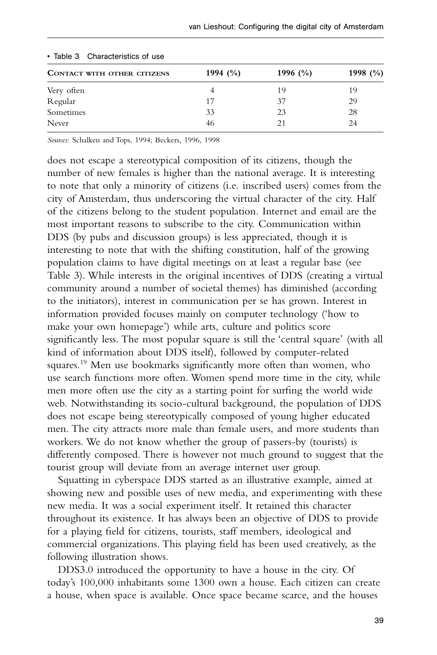| CONTACT WITH OTHER CITIZENS | 1994 $(\%$ | 1996 $(\%$ | 1998 $(\%)$ |  |  |
|-----------------------------|------------|------------|-------------|--|--|
| Very often                  |            | 19         | 19          |  |  |
| Regular                     | 17         | 37         | 29          |  |  |
| Sometimes                   | 33         | 23         | 28          |  |  |
| Never                       | 46         | 21         | 24          |  |  |

#### • Table 3 Characteristics of use

*Sources*: Schalken and Tops, 1994; Beckers, 1996, 1998

does not escape a stereotypical composition of its citizens, though the number of new females is higher than the national average. It is interesting to note that only a minority of citizens (i.e. inscribed users) comes from the city of Amsterdam, thus underscoring the virtual character of the city. Half of the citizens belong to the student population. Internet and email are the most important reasons to subscribe to the city. Communication within DDS (by pubs and discussion groups) is less appreciated, though it is interesting to note that with the shifting constitution, half of the growing population claims to have digital meetings on at least a regular base (see Table 3). While interests in the original incentives of DDS (creating a virtual community around a number of societal themes) has diminished (according to the initiators), interest in communication per se has grown. Interest in information provided focuses mainly on computer technology ('how to make your own homepage') while arts, culture and politics score significantly less. The most popular square is still the 'central square' (with all kind of information about DDS itself), followed by computer-related squares.<sup>19</sup> Men use bookmarks significantly more often than women, who use search functions more often. Women spend more time in the city, while men more often use the city as a starting point for surfing the world wide web. Notwithstanding its socio-cultural background, the population of DDS does not escape being stereotypically composed of young higher educated men. The city attracts more male than female users, and more students than workers. We do not know whether the group of passers-by (tourists) is differently composed. There is however not much ground to suggest that the tourist group will deviate from an average internet user group.

Squatting in cyberspace DDS started as an illustrative example, aimed at showing new and possible uses of new media, and experimenting with these new media. It was a social experiment itself. It retained this character throughout its existence. It has always been an objective of DDS to provide for a playing field for citizens, tourists, staff members, ideological and commercial organizations. This playing field has been used creatively, as the following illustration shows.

DDS3.0 introduced the opportunity to have a house in the city. Of today's 100,000 inhabitants some 1300 own a house. Each citizen can create a house, when space is available. Once space became scarce, and the houses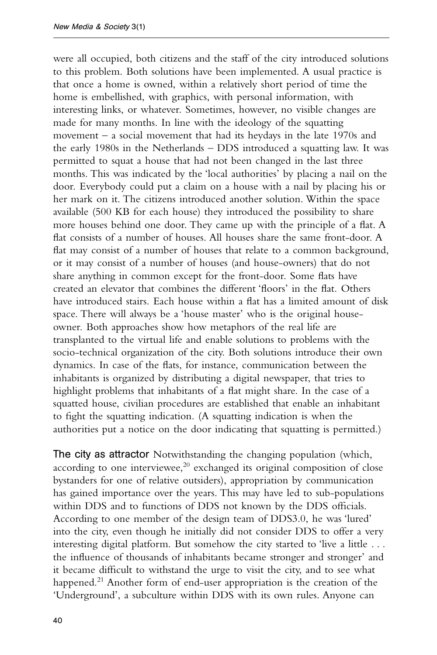were all occupied, both citizens and the staff of the city introduced solutions to this problem. Both solutions have been implemented. A usual practice is that once a home is owned, within a relatively short period of time the home is embellished, with graphics, with personal information, with interesting links, or whatever. Sometimes, however, no visible changes are made for many months. In line with the ideology of the squatting movement – a social movement that had its heydays in the late 1970s and the early 1980s in the Netherlands – DDS introduced a squatting law. It was permitted to squat a house that had not been changed in the last three months. This was indicated by the 'local authorities' by placing a nail on the door. Everybody could put a claim on a house with a nail by placing his or her mark on it. The citizens introduced another solution. Within the space available (500 KB for each house) they introduced the possibility to share more houses behind one door. They came up with the principle of a flat. A flat consists of a number of houses. All houses share the same front-door. A flat may consist of a number of houses that relate to a common background, or it may consist of a number of houses (and house-owners) that do not share anything in common except for the front-door. Some flats have created an elevator that combines the different 'floors' in the flat. Others have introduced stairs. Each house within a flat has a limited amount of disk space. There will always be a 'house master' who is the original houseowner. Both approaches show how metaphors of the real life are transplanted to the virtual life and enable solutions to problems with the socio-technical organization of the city. Both solutions introduce their own dynamics. In case of the flats, for instance, communication between the inhabitants is organized by distributing a digital newspaper, that tries to highlight problems that inhabitants of a flat might share. In the case of a squatted house, civilian procedures are established that enable an inhabitant to fight the squatting indication. (A squatting indication is when the authorities put a notice on the door indicating that squatting is permitted.)

The city as attractor Notwithstanding the changing population (which, according to one interviewee, $20$  exchanged its original composition of close bystanders for one of relative outsiders), appropriation by communication has gained importance over the years. This may have led to sub-populations within DDS and to functions of DDS not known by the DDS officials. According to one member of the design team of DDS3.0, he was 'lured' into the city, even though he initially did not consider DDS to offer a very interesting digital platform. But somehow the city started to 'live a little . . . the influence of thousands of inhabitants became stronger and stronger' and it became difficult to withstand the urge to visit the city, and to see what happened.<sup>21</sup> Another form of end-user appropriation is the creation of the 'Underground', a subculture within DDS with its own rules. Anyone can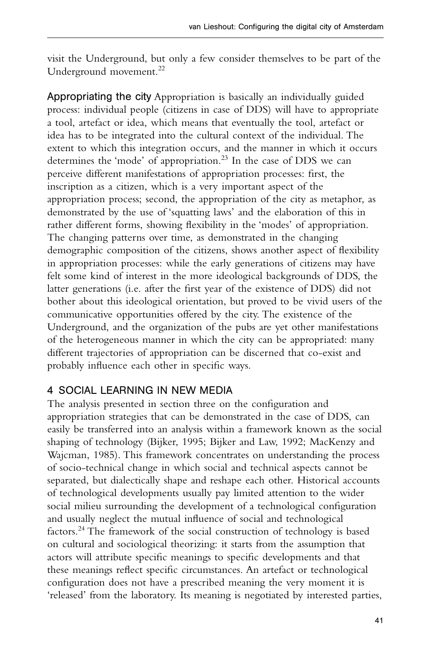visit the Underground, but only a few consider themselves to be part of the Underground movement.<sup>22</sup>

Appropriating the city Appropriation is basically an individually guided process: individual people (citizens in case of DDS) will have to appropriate a tool, artefact or idea, which means that eventually the tool, artefact or idea has to be integrated into the cultural context of the individual. The extent to which this integration occurs, and the manner in which it occurs determines the 'mode' of appropriation.<sup>23</sup> In the case of DDS we can perceive different manifestations of appropriation processes: first, the inscription as a citizen, which is a very important aspect of the appropriation process; second, the appropriation of the city as metaphor, as demonstrated by the use of 'squatting laws' and the elaboration of this in rather different forms, showing flexibility in the 'modes' of appropriation. The changing patterns over time, as demonstrated in the changing demographic composition of the citizens, shows another aspect of flexibility in appropriation processes: while the early generations of citizens may have felt some kind of interest in the more ideological backgrounds of DDS, the latter generations (i.e. after the first year of the existence of DDS) did not bother about this ideological orientation, but proved to be vivid users of the communicative opportunities offered by the city. The existence of the Underground, and the organization of the pubs are yet other manifestations of the heterogeneous manner in which the city can be appropriated: many different trajectories of appropriation can be discerned that co-exist and probably influence each other in specific ways.

# 4 SOCIAL LEARNING IN NEW MEDIA

The analysis presented in section three on the configuration and appropriation strategies that can be demonstrated in the case of DDS, can easily be transferred into an analysis within a framework known as the social shaping of technology (Bijker, 1995; Bijker and Law, 1992; MacKenzy and Wajcman, 1985). This framework concentrates on understanding the process of socio-technical change in which social and technical aspects cannot be separated, but dialectically shape and reshape each other. Historical accounts of technological developments usually pay limited attention to the wider social milieu surrounding the development of a technological configuration and usually neglect the mutual influence of social and technological factors.24 The framework of the social construction of technology is based on cultural and sociological theorizing: it starts from the assumption that actors will attribute specific meanings to specific developments and that these meanings reflect specific circumstances. An artefact or technological configuration does not have a prescribed meaning the very moment it is 'released' from the laboratory. Its meaning is negotiated by interested parties,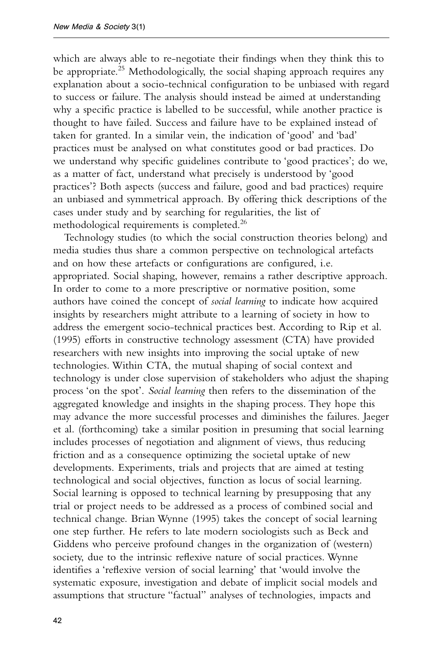which are always able to re-negotiate their findings when they think this to be appropriate.<sup>25</sup> Methodologically, the social shaping approach requires any explanation about a socio-technical configuration to be unbiased with regard to success or failure. The analysis should instead be aimed at understanding why a specific practice is labelled to be successful, while another practice is thought to have failed. Success and failure have to be explained instead of taken for granted. In a similar vein, the indication of 'good' and 'bad' practices must be analysed on what constitutes good or bad practices. Do we understand why specific guidelines contribute to 'good practices'; do we, as a matter of fact, understand what precisely is understood by 'good practices'? Both aspects (success and failure, good and bad practices) require an unbiased and symmetrical approach. By offering thick descriptions of the cases under study and by searching for regularities, the list of methodological requirements is completed.<sup>26</sup>

Technology studies (to which the social construction theories belong) and media studies thus share a common perspective on technological artefacts and on how these artefacts or configurations are configured, i.e. appropriated. Social shaping, however, remains a rather descriptive approach. In order to come to a more prescriptive or normative position, some authors have coined the concept of *social learning* to indicate how acquired insights by researchers might attribute to a learning of society in how to address the emergent socio-technical practices best. According to Rip et al. (1995) efforts in constructive technology assessment (CTA) have provided researchers with new insights into improving the social uptake of new technologies. Within CTA, the mutual shaping of social context and technology is under close supervision of stakeholders who adjust the shaping process 'on the spot'. *Social learning* then refers to the dissemination of the aggregated knowledge and insights in the shaping process. They hope this may advance the more successful processes and diminishes the failures. Jaeger et al. (forthcoming) take a similar position in presuming that social learning includes processes of negotiation and alignment of views, thus reducing friction and as a consequence optimizing the societal uptake of new developments. Experiments, trials and projects that are aimed at testing technological and social objectives, function as locus of social learning. Social learning is opposed to technical learning by presupposing that any trial or project needs to be addressed as a process of combined social and technical change. Brian Wynne (1995) takes the concept of social learning one step further. He refers to late modern sociologists such as Beck and Giddens who perceive profound changes in the organization of (western) society, due to the intrinsic reflexive nature of social practices. Wynne identifies a 'reflexive version of social learning' that 'would involve the systematic exposure, investigation and debate of implicit social models and assumptions that structure "factual" analyses of technologies, impacts and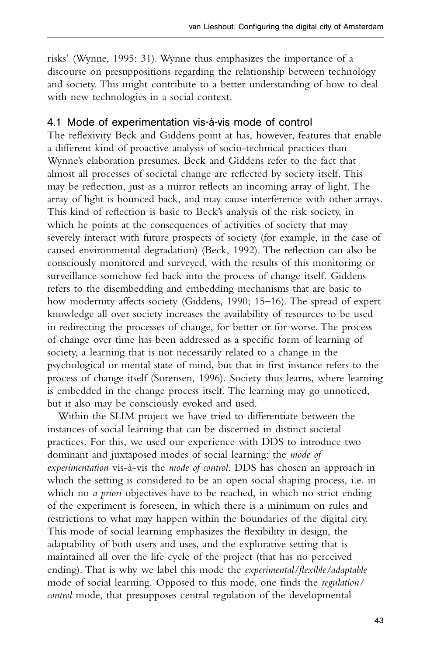risks' (Wynne, 1995: 31). Wynne thus emphasizes the importance of a discourse on presuppositions regarding the relationship between technology and society. This might contribute to a better understanding of how to deal with new technologies in a social context.

# 4.1 Mode of experimentation vis-à-vis mode of control

The reflexivity Beck and Giddens point at has, however, features that enable a different kind of proactive analysis of socio-technical practices than Wynne's elaboration presumes. Beck and Giddens refer to the fact that almost all processes of societal change are reflected by society itself. This may be reflection, just as a mirror reflects an incoming array of light. The array of light is bounced back, and may cause interference with other arrays. This kind of reflection is basic to Beck's analysis of the risk society, in which he points at the consequences of activities of society that may severely interact with future prospects of society (for example, in the case of caused environmental degradation) (Beck, 1992). The reflection can also be consciously monitored and surveyed, with the results of this monitoring or surveillance somehow fed back into the process of change itself. Giddens refers to the disembedding and embedding mechanisms that are basic to how modernity affects society (Giddens, 1990; 15–16). The spread of expert knowledge all over society increases the availability of resources to be used in redirecting the processes of change, for better or for worse. The process of change over time has been addressed as a specific form of learning of society, a learning that is not necessarily related to a change in the psychological or mental state of mind, but that in first instance refers to the process of change itself (Sorensen, 1996). Society thus learns, where learning is embedded in the change process itself. The learning may go unnoticed, but it also may be consciously evoked and used.

Within the SLIM project we have tried to differentiate between the instances of social learning that can be discerned in distinct societal practices. For this, we used our experience with DDS to introduce two dominant and juxtaposed modes of social learning: the *mode of experimentation* vis-à-vis the *mode of control*. DDS has chosen an approach in which the setting is considered to be an open social shaping process, i.e. in which no *a priori* objectives have to be reached, in which no strict ending of the experiment is foreseen, in which there is a minimum on rules and restrictions to what may happen within the boundaries of the digital city. This mode of social learning emphasizes the flexibility in design, the adaptability of both users and uses, and the explorative setting that is maintained all over the life cycle of the project (that has no perceived ending). That is why we label this mode the *experimental/flexible/adaptable* mode of social learning. Opposed to this mode, one finds the *regulation/ control* mode, that presupposes central regulation of the developmental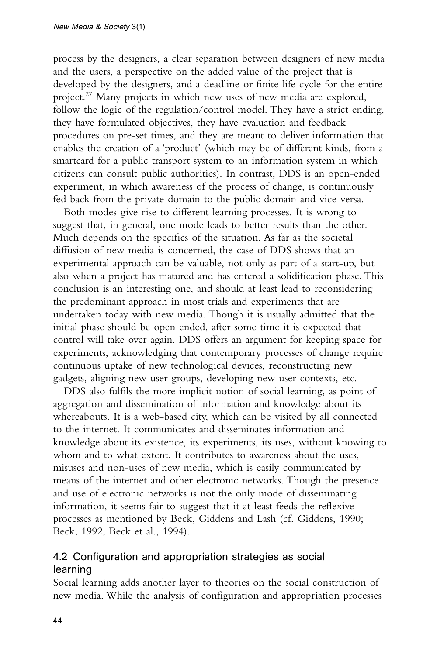process by the designers, a clear separation between designers of new media and the users, a perspective on the added value of the project that is developed by the designers, and a deadline or finite life cycle for the entire project.27 Many projects in which new uses of new media are explored, follow the logic of the regulation/control model. They have a strict ending, they have formulated objectives, they have evaluation and feedback procedures on pre-set times, and they are meant to deliver information that enables the creation of a 'product' (which may be of different kinds, from a smartcard for a public transport system to an information system in which citizens can consult public authorities). In contrast, DDS is an open-ended experiment, in which awareness of the process of change, is continuously fed back from the private domain to the public domain and vice versa.

Both modes give rise to different learning processes. It is wrong to suggest that, in general, one mode leads to better results than the other. Much depends on the specifics of the situation. As far as the societal diffusion of new media is concerned, the case of DDS shows that an experimental approach can be valuable, not only as part of a start-up, but also when a project has matured and has entered a solidification phase. This conclusion is an interesting one, and should at least lead to reconsidering the predominant approach in most trials and experiments that are undertaken today with new media. Though it is usually admitted that the initial phase should be open ended, after some time it is expected that control will take over again. DDS offers an argument for keeping space for experiments, acknowledging that contemporary processes of change require continuous uptake of new technological devices, reconstructing new gadgets, aligning new user groups, developing new user contexts, etc.

DDS also fulfils the more implicit notion of social learning, as point of aggregation and dissemination of information and knowledge about its whereabouts. It is a web-based city, which can be visited by all connected to the internet. It communicates and disseminates information and knowledge about its existence, its experiments, its uses, without knowing to whom and to what extent. It contributes to awareness about the uses, misuses and non-uses of new media, which is easily communicated by means of the internet and other electronic networks. Though the presence and use of electronic networks is not the only mode of disseminating information, it seems fair to suggest that it at least feeds the reflexive processes as mentioned by Beck, Giddens and Lash (cf. Giddens, 1990; Beck, 1992, Beck et al., 1994).

# 4.2 Configuration and appropriation strategies as social learning

Social learning adds another layer to theories on the social construction of new media. While the analysis of configuration and appropriation processes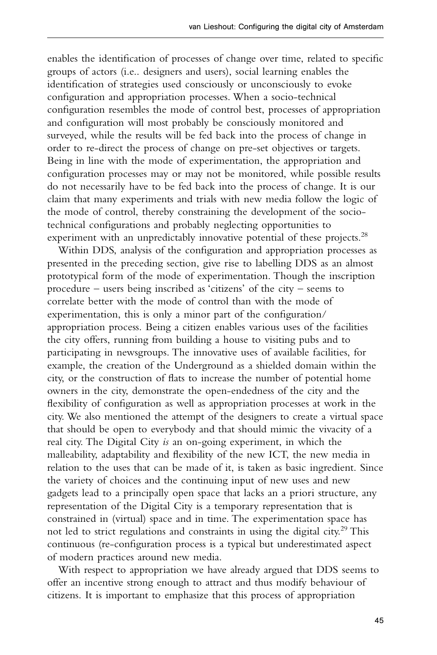enables the identification of processes of change over time, related to specific groups of actors (i.e.. designers and users), social learning enables the identification of strategies used consciously or unconsciously to evoke configuration and appropriation processes. When a socio-technical configuration resembles the mode of control best, processes of appropriation and configuration will most probably be consciously monitored and surveyed, while the results will be fed back into the process of change in order to re-direct the process of change on pre-set objectives or targets. Being in line with the mode of experimentation, the appropriation and configuration processes may or may not be monitored, while possible results do not necessarily have to be fed back into the process of change. It is our claim that many experiments and trials with new media follow the logic of the mode of control, thereby constraining the development of the sociotechnical configurations and probably neglecting opportunities to experiment with an unpredictably innovative potential of these projects.<sup>28</sup>

Within DDS, analysis of the configuration and appropriation processes as presented in the preceding section, give rise to labelling DDS as an almost prototypical form of the mode of experimentation. Though the inscription procedure – users being inscribed as 'citizens' of the city – seems to correlate better with the mode of control than with the mode of experimentation, this is only a minor part of the configuration/ appropriation process. Being a citizen enables various uses of the facilities the city offers, running from building a house to visiting pubs and to participating in newsgroups. The innovative uses of available facilities, for example, the creation of the Underground as a shielded domain within the city, or the construction of flats to increase the number of potential home owners in the city, demonstrate the open-endedness of the city and the flexibility of configuration as well as appropriation processes at work in the city. We also mentioned the attempt of the designers to create a virtual space that should be open to everybody and that should mimic the vivacity of a real city. The Digital City *is* an on-going experiment, in which the malleability, adaptability and flexibility of the new ICT, the new media in relation to the uses that can be made of it, is taken as basic ingredient. Since the variety of choices and the continuing input of new uses and new gadgets lead to a principally open space that lacks an a priori structure, any representation of the Digital City is a temporary representation that is constrained in (virtual) space and in time. The experimentation space has not led to strict regulations and constraints in using the digital city.<sup>29</sup> This continuous (re-configuration process is a typical but underestimated aspect of modern practices around new media.

With respect to appropriation we have already argued that DDS seems to offer an incentive strong enough to attract and thus modify behaviour of citizens. It is important to emphasize that this process of appropriation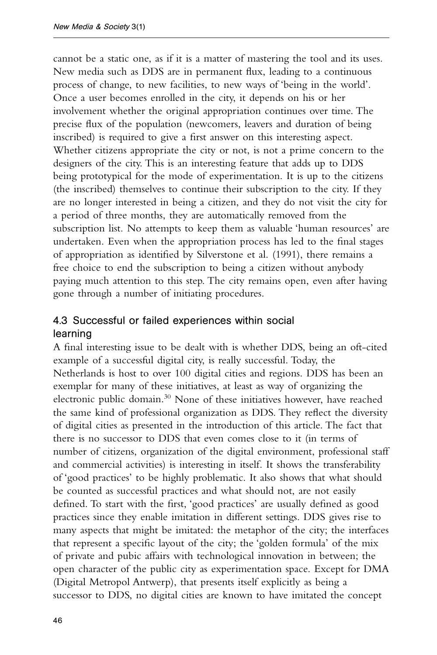cannot be a static one, as if it is a matter of mastering the tool and its uses. New media such as DDS are in permanent flux, leading to a continuous process of change, to new facilities, to new ways of 'being in the world'. Once a user becomes enrolled in the city, it depends on his or her involvement whether the original appropriation continues over time. The precise flux of the population (newcomers, leavers and duration of being inscribed) is required to give a first answer on this interesting aspect. Whether citizens appropriate the city or not, is not a prime concern to the designers of the city. This is an interesting feature that adds up to DDS being prototypical for the mode of experimentation. It is up to the citizens (the inscribed) themselves to continue their subscription to the city. If they are no longer interested in being a citizen, and they do not visit the city for a period of three months, they are automatically removed from the subscription list. No attempts to keep them as valuable 'human resources' are undertaken. Even when the appropriation process has led to the final stages of appropriation as identified by Silverstone et al. (1991), there remains a free choice to end the subscription to being a citizen without anybody paying much attention to this step. The city remains open, even after having gone through a number of initiating procedures.

# 4.3 Successful or failed experiences within social learning

A final interesting issue to be dealt with is whether DDS, being an oft-cited example of a successful digital city, is really successful. Today, the Netherlands is host to over 100 digital cities and regions. DDS has been an exemplar for many of these initiatives, at least as way of organizing the electronic public domain.<sup>30</sup> None of these initiatives however, have reached the same kind of professional organization as DDS. They reflect the diversity of digital cities as presented in the introduction of this article. The fact that there is no successor to DDS that even comes close to it (in terms of number of citizens, organization of the digital environment, professional staff and commercial activities) is interesting in itself. It shows the transferability of 'good practices' to be highly problematic. It also shows that what should be counted as successful practices and what should not, are not easily defined. To start with the first, 'good practices' are usually defined as good practices since they enable imitation in different settings. DDS gives rise to many aspects that might be imitated: the metaphor of the city; the interfaces that represent a specific layout of the city; the 'golden formula' of the mix of private and pubic affairs with technological innovation in between; the open character of the public city as experimentation space. Except for DMA (Digital Metropol Antwerp), that presents itself explicitly as being a successor to DDS, no digital cities are known to have imitated the concept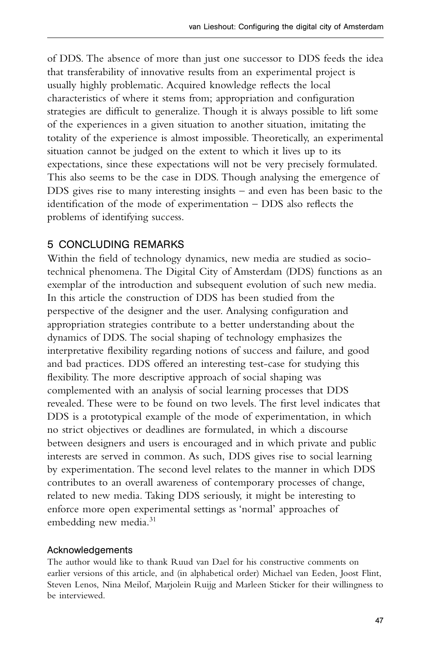of DDS. The absence of more than just one successor to DDS feeds the idea that transferability of innovative results from an experimental project is usually highly problematic. Acquired knowledge reflects the local characteristics of where it stems from; appropriation and configuration strategies are difficult to generalize. Though it is always possible to lift some of the experiences in a given situation to another situation, imitating the totality of the experience is almost impossible. Theoretically, an experimental situation cannot be judged on the extent to which it lives up to its expectations, since these expectations will not be very precisely formulated. This also seems to be the case in DDS. Though analysing the emergence of DDS gives rise to many interesting insights – and even has been basic to the identification of the mode of experimentation – DDS also reflects the problems of identifying success.

# 5 CONCLUDING REMARKS

Within the field of technology dynamics, new media are studied as sociotechnical phenomena. The Digital City of Amsterdam (DDS) functions as an exemplar of the introduction and subsequent evolution of such new media. In this article the construction of DDS has been studied from the perspective of the designer and the user. Analysing configuration and appropriation strategies contribute to a better understanding about the dynamics of DDS. The social shaping of technology emphasizes the interpretative flexibility regarding notions of success and failure, and good and bad practices. DDS offered an interesting test-case for studying this flexibility. The more descriptive approach of social shaping was complemented with an analysis of social learning processes that DDS revealed. These were to be found on two levels. The first level indicates that DDS is a prototypical example of the mode of experimentation, in which no strict objectives or deadlines are formulated, in which a discourse between designers and users is encouraged and in which private and public interests are served in common. As such, DDS gives rise to social learning by experimentation. The second level relates to the manner in which DDS contributes to an overall awareness of contemporary processes of change, related to new media. Taking DDS seriously, it might be interesting to enforce more open experimental settings as 'normal' approaches of embedding new media.<sup>31</sup>

## Acknowledgements

The author would like to thank Ruud van Dael for his constructive comments on earlier versions of this article, and (in alphabetical order) Michael van Eeden, Joost Flint, Steven Lenos, Nina Meilof, Marjolein Ruijg and Marleen Sticker for their willingness to be interviewed.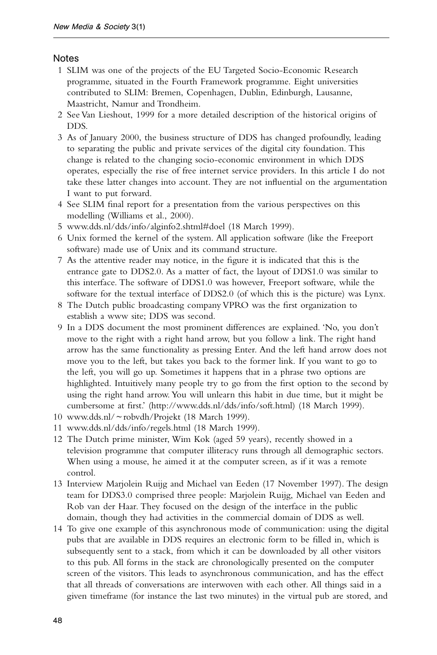## Notes

- 1 SLIM was one of the projects of the EU Targeted Socio-Economic Research programme, situated in the Fourth Framework programme. Eight universities contributed to SLIM: Bremen, Copenhagen, Dublin, Edinburgh, Lausanne, Maastricht, Namur and Trondheim.
- 2 See Van Lieshout, 1999 for a more detailed description of the historical origins of DDS.
- 3 As of January 2000, the business structure of DDS has changed profoundly, leading to separating the public and private services of the digital city foundation. This change is related to the changing socio-economic environment in which DDS operates, especially the rise of free internet service providers. In this article I do not take these latter changes into account. They are not influential on the argumentation I want to put forward.
- 4 See SLIM final report for a presentation from the various perspectives on this modelling (Williams et al., 2000).
- 5 www.dds.nl/dds/info/alginfo2.shtml#doel (18 March 1999).
- 6 Unix formed the kernel of the system. All application software (like the Freeport software) made use of Unix and its command structure.
- 7 As the attentive reader may notice, in the figure it is indicated that this is the entrance gate to DDS2.0. As a matter of fact, the layout of DDS1.0 was similar to this interface. The software of DDS1.0 was however, Freeport software, while the software for the textual interface of DDS2.0 (of which this is the picture) was Lynx.
- 8 The Dutch public broadcasting company VPRO was the first organization to establish a www site; DDS was second.
- 9 In a DDS document the most prominent differences are explained. 'No, you don't move to the right with a right hand arrow, but you follow a link. The right hand arrow has the same functionality as pressing Enter. And the left hand arrow does not move you to the left, but takes you back to the former link. If you want to go to the left, you will go up. Sometimes it happens that in a phrase two options are highlighted. Intuitively many people try to go from the first option to the second by using the right hand arrow. You will unlearn this habit in due time, but it might be cumbersome at first.' (http://www.dds.nl/dds/info/soft.html) (18 March 1999).
- 10 www.dds.nl/ ~ robvdh/Projekt (18 March 1999).
- 11 www.dds.nl/dds/info/regels.html (18 March 1999).
- 12 The Dutch prime minister, Wim Kok (aged 59 years), recently showed in a television programme that computer illiteracy runs through all demographic sectors. When using a mouse, he aimed it at the computer screen, as if it was a remote control.
- 13 Interview Marjolein Ruijg and Michael van Eeden (17 November 1997). The design team for DDS3.0 comprised three people: Marjolein Ruijg, Michael van Eeden and Rob van der Haar. They focused on the design of the interface in the public domain, though they had activities in the commercial domain of DDS as well.
- 14 To give one example of this asynchronous mode of communication: using the digital pubs that are available in DDS requires an electronic form to be filled in, which is subsequently sent to a stack, from which it can be downloaded by all other visitors to this pub. All forms in the stack are chronologically presented on the computer screen of the visitors. This leads to asynchronous communication, and has the effect that all threads of conversations are interwoven with each other. All things said in a given timeframe (for instance the last two minutes) in the virtual pub are stored, and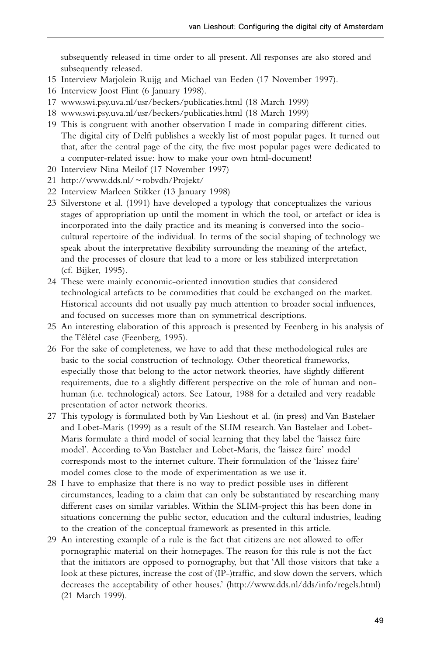subsequently released in time order to all present. All responses are also stored and subsequently released.

- 15 Interview Marjolein Ruijg and Michael van Eeden (17 November 1997).
- 16 Interview Joost Flint (6 January 1998).
- 17 www.swi.psy.uva.nl/usr/beckers/publicaties.html (18 March 1999)
- 18 www.swi.psy.uva.nl/usr/beckers/publicaties.html (18 March 1999)
- 19 This is congruent with another observation I made in comparing different cities. The digital city of Delft publishes a weekly list of most popular pages. It turned out that, after the central page of the city, the five most popular pages were dedicated to a computer-related issue: how to make your own html-document!
- 20 Interview Nina Meilof (17 November 1997)
- 21 http://www.dds.nl/ ~ robvdh/Projekt/
- 22 Interview Marleen Stikker (13 January 1998)
- 23 Silverstone et al. (1991) have developed a typology that conceptualizes the various stages of appropriation up until the moment in which the tool, or artefact or idea is incorporated into the daily practice and its meaning is conversed into the sociocultural repertoire of the individual. In terms of the social shaping of technology we speak about the interpretative flexibility surrounding the meaning of the artefact, and the processes of closure that lead to a more or less stabilized interpretation (cf. Bijker, 1995).
- 24 These were mainly economic-oriented innovation studies that considered technological artefacts to be commodities that could be exchanged on the market. Historical accounts did not usually pay much attention to broader social influences, and focused on successes more than on symmetrical descriptions.
- 25 An interesting elaboration of this approach is presented by Feenberg in his analysis of the Télétel case (Feenberg, 1995).
- 26 For the sake of completeness, we have to add that these methodological rules are basic to the social construction of technology. Other theoretical frameworks, especially those that belong to the actor network theories, have slightly different requirements, due to a slightly different perspective on the role of human and nonhuman (i.e. technological) actors. See Latour, 1988 for a detailed and very readable presentation of actor network theories.
- 27 This typology is formulated both by Van Lieshout et al. (in press) and Van Bastelaer and Lobet-Maris (1999) as a result of the SLIM research. Van Bastelaer and Lobet-Maris formulate a third model of social learning that they label the 'laissez faire model'. According to Van Bastelaer and Lobet-Maris, the 'laissez faire' model corresponds most to the internet culture. Their formulation of the 'laissez faire' model comes close to the mode of experimentation as we use it.
- 28 I have to emphasize that there is no way to predict possible uses in different circumstances, leading to a claim that can only be substantiated by researching many different cases on similar variables. Within the SLIM-project this has been done in situations concerning the public sector, education and the cultural industries, leading to the creation of the conceptual framework as presented in this article.
- 29 An interesting example of a rule is the fact that citizens are not allowed to offer pornographic material on their homepages. The reason for this rule is not the fact that the initiators are opposed to pornography, but that 'All those visitors that take a look at these pictures, increase the cost of (IP-)traffic, and slow down the servers, which decreases the acceptability of other houses.' (http://www.dds.nl/dds/info/regels.html) (21 March 1999).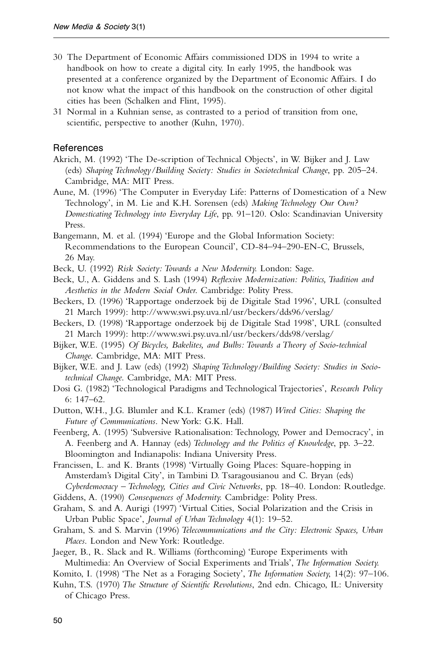- 30 The Department of Economic Affairs commissioned DDS in 1994 to write a handbook on how to create a digital city. In early 1995, the handbook was presented at a conference organized by the Department of Economic Affairs. I do not know what the impact of this handbook on the construction of other digital cities has been (Schalken and Flint, 1995).
- 31 Normal in a Kuhnian sense, as contrasted to a period of transition from one, scientific, perspective to another (Kuhn, 1970).

#### References

- Akrich, M. (1992) 'The De-scription of Technical Objects', in W. Bijker and J. Law (eds) *Shaping Technology/Building Society: Studies in Sociotechnical Change*, pp. 205–24. Cambridge, MA: MIT Press.
- Aune, M. (1996) 'The Computer in Everyday Life: Patterns of Domestication of a New Technology', in M. Lie and K.H. Sorensen (eds) *Making Technology Our Own? Domesticating Technology into Everyday Life*, pp. 91–120. Oslo: Scandinavian University Press.
- Bangemann, M. et al. (1994) 'Europe and the Global Information Society: Recommendations to the European Council', CD-84–94–290-EN-C, Brussels, 26 May.
- Beck, U. (1992) *Risk Society: Towards a New Modernity*. London: Sage.
- Beck, U., A. Giddens and S. Lash (1994) *Reflexive Modernization: Politics, Tradition and Aesthetics in the Modern Social Order*. Cambridge: Polity Press.
- Beckers, D. (1996) 'Rapportage onderzoek bij de Digitale Stad 1996', URL (consulted 21 March 1999): http://www.swi.psy.uva.nl/usr/beckers/dds96/verslag/
- Beckers, D. (1998) 'Rapportage onderzoek bij de Digitale Stad 1998', URL (consulted 21 March 1999): http://www.swi.psy.uva.nl/usr/beckers/dds98/verslag/
- Bijker, W.E. (1995) *Of Bicycles, Bakelites, and Bulbs: Towards a Theory of Socio-technical Change*. Cambridge, MA: MIT Press.
- Bijker, W.E. and J. Law (eds) (1992) *Shaping Technology/Building Society: Studies in Sociotechnical Change*. Cambridge, MA: MIT Press.
- Dosi G. (1982) 'Technological Paradigms and Technological Trajectories', *Research Policy* 6: 147–62.
- Dutton, W.H., J.G. Blumler and K.L. Kramer (eds) (1987) *Wired Cities: Shaping the Future of Communications*. New York: G.K. Hall.
- Feenberg, A. (1995) 'Subversive Rationalisation: Technology, Power and Democracy', in A. Feenberg and A. Hannay (eds) *Technology and the Politics of Knowledge*, pp. 3–22. Bloomington and Indianapolis: Indiana University Press.

Francissen, L. and K. Brants (1998) 'Virtually Going Places: Square-hopping in Amsterdam's Digital City', in Tambini D. Tsaragousianou and C. Bryan (eds) *Cyberdemocracy – Technology, Cities and Civic Networks*, pp. 18–40. London: Routledge.

- Giddens, A. (1990) *Consequences of Modernity*. Cambridge: Polity Press.
- Graham, S. and A. Aurigi (1997) 'Virtual Cities, Social Polarization and the Crisis in
- Urban Public Space', *Journal of Urban Technology* 4(1): 19–52.
- Graham, S. and S. Marvin (1996) *Telecommunications and the City: Electronic Spaces, Urban Places*. London and New York: Routledge.
- Jaeger, B., R. Slack and R. Williams (forthcoming) 'Europe Experiments with Multimedia: An Overview of Social Experiments and Trials', *The Information Society*.
- Komito, I. (1998) 'The Net as a Foraging Society', *The Information Society*, 14(2): 97–106.
- Kuhn, T.S. (1970) *The Structure of Scientific Revolutions*, 2nd edn. Chicago, IL: University of Chicago Press.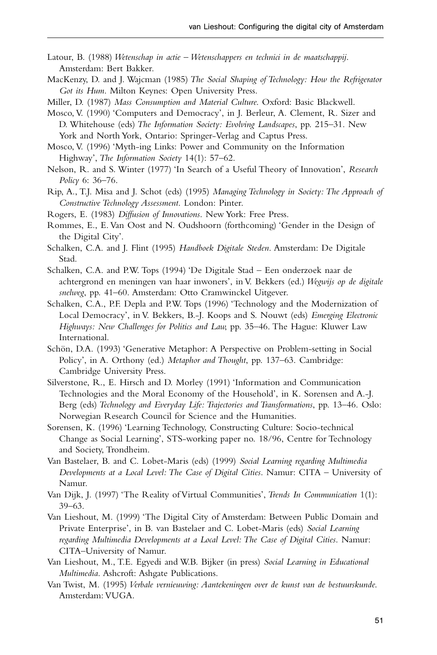- Latour, B. (1988) *Wetenschap in actie Wetenschappers en technici in de maatschappij*. Amsterdam: Bert Bakker.
- MacKenzy, D. and J. Wajcman (1985) *The Social Shaping of Technology: How the Refrigerator Got its Hum*. Milton Keynes: Open University Press.

Miller, D. (1987) *Mass Consumption and Material Culture*. Oxford: Basic Blackwell.

Mosco, V. (1990) 'Computers and Democracy', in J. Berleur, A. Clement, R. Sizer and D. Whitehouse (eds) *The Information Society: Evolving Landscapes*, pp. 215–31. New York and North York, Ontario: Springer-Verlag and Captus Press.

Mosco, V. (1996) 'Myth-ing Links: Power and Community on the Information Highway', *The Information Society* 14(1): 57–62.

Nelson, R. and S. Winter (1977) 'In Search of a Useful Theory of Innovation', *Research Policy* 6: 36–76.

Rip, A., T.J. Misa and J. Schot (eds) (1995) *Managing Technology in Society: The Approach of Constructive Technology Assessment*. London: Pinter.

- Rogers, E. (1983) *Diffusion of Innovations*. New York: Free Press.
- Rommes, E., E. Van Oost and N. Oudshoorn (forthcoming) 'Gender in the Design of the Digital City'.
- Schalken, C.A. and J. Flint (1995) *Handboek Digitale Steden*. Amsterdam: De Digitale Stad.

Schalken, C.A. and P.W. Tops (1994) 'De Digitale Stad – Een onderzoek naar de achtergrond en meningen van haar inwoners', in V. Bekkers (ed.) *Wegwijs op de digitale snelweg*, pp. 41–60. Amsterdam: Otto Cramwinckel Uitgever.

- Schalken, C.A., P.F. Depla and P.W. Tops (1996) 'Technology and the Modernization of Local Democracy', in V. Bekkers, B.-J. Koops and S. Nouwt (eds) *Emerging Electronic Highways: New Challenges for Politics and Law*, pp. 35–46. The Hague: Kluwer Law International.
- Schön, D.A. (1993) 'Generative Metaphor: A Perspective on Problem-setting in Social Policy', in A. Orthony (ed.) *Metaphor and Thought*, pp. 137–63. Cambridge: Cambridge University Press.
- Silverstone, R., E. Hirsch and D. Morley (1991) 'Information and Communication Technologies and the Moral Economy of the Household', in K. Sorensen and A.-J. Berg (eds) *Technology and Everyday Life: Trajectories and Transformations*, pp. 13–46. Oslo: Norwegian Research Council for Science and the Humanities.
- Sorensen, K. (1996) 'Learning Technology, Constructing Culture: Socio-technical Change as Social Learning', STS-working paper no. 18/96, Centre for Technology and Society, Trondheim.

Van Bastelaer, B. and C. Lobet-Maris (eds) (1999) *Social Learning regarding Multimedia Developments at a Local Level: The Case of Digital Cities*. Namur: CITA – University of Namur.

- Van Dijk, J. (1997) 'The Reality of Virtual Communities', *Trends In Communication* 1(1): 39–63.
- Van Lieshout, M. (1999) 'The Digital City of Amsterdam: Between Public Domain and Private Enterprise', in B. van Bastelaer and C. Lobet-Maris (eds) *Social Learning regarding Multimedia Developments at a Local Level: The Case of Digital Cities*. Namur: CITA–University of Namur.
- Van Lieshout, M., T.E. Egyedi and W.B. Bijker (in press) *Social Learning in Educational Multimedia*. Ashcroft: Ashgate Publications.
- Van Twist, M. (1995) *Verbale vernieuwing: Aantekeningen over de kunst van de bestuurskunde*. Amsterdam: VUGA.